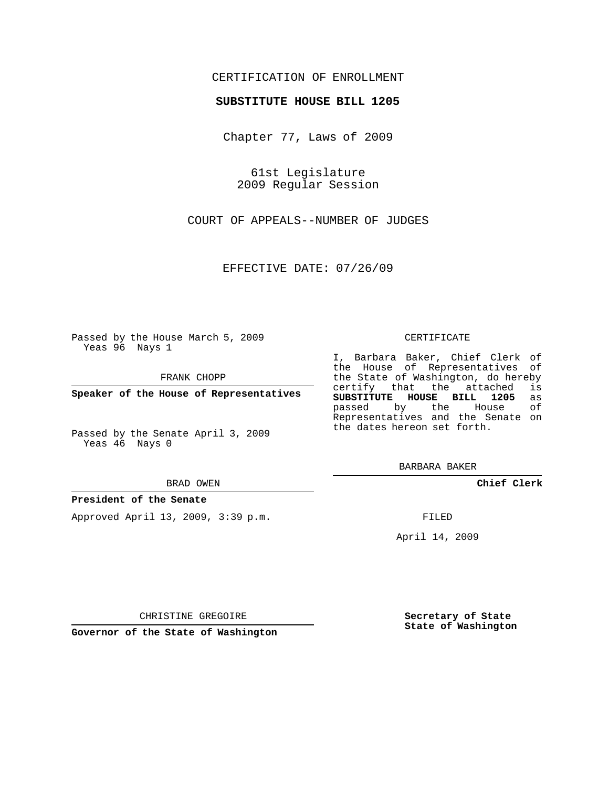## CERTIFICATION OF ENROLLMENT

## **SUBSTITUTE HOUSE BILL 1205**

Chapter 77, Laws of 2009

61st Legislature 2009 Regular Session

COURT OF APPEALS--NUMBER OF JUDGES

EFFECTIVE DATE: 07/26/09

Passed by the House March 5, 2009 Yeas 96 Nays 1

FRANK CHOPP

**Speaker of the House of Representatives**

Passed by the Senate April 3, 2009 Yeas 46 Nays 0

#### BRAD OWEN

### **President of the Senate**

Approved April 13, 2009, 3:39 p.m.

#### CERTIFICATE

I, Barbara Baker, Chief Clerk of the House of Representatives of the State of Washington, do hereby<br>certify that the attached is certify that the attached **SUBSTITUTE HOUSE BILL 1205** as passed by the Representatives and the Senate on the dates hereon set forth.

BARBARA BAKER

**Chief Clerk**

FILED

April 14, 2009

**Secretary of State State of Washington**

CHRISTINE GREGOIRE

**Governor of the State of Washington**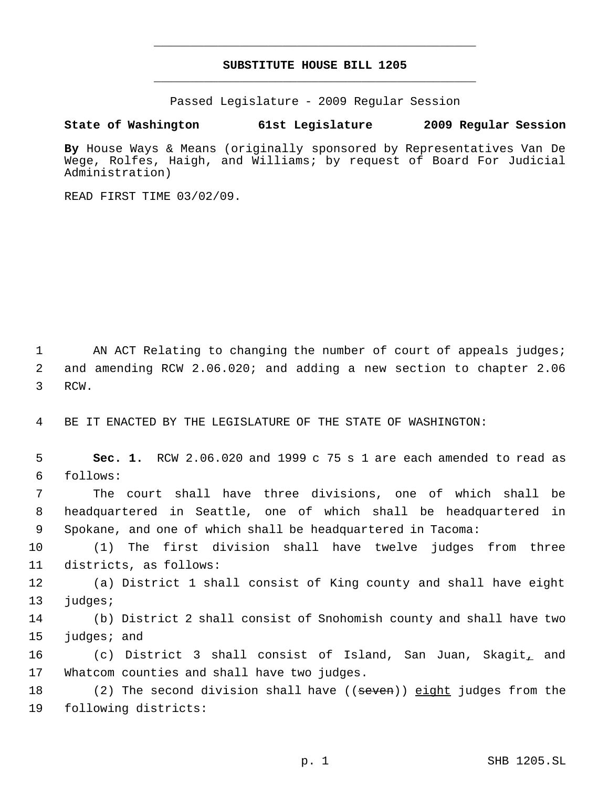# **SUBSTITUTE HOUSE BILL 1205** \_\_\_\_\_\_\_\_\_\_\_\_\_\_\_\_\_\_\_\_\_\_\_\_\_\_\_\_\_\_\_\_\_\_\_\_\_\_\_\_\_\_\_\_\_

\_\_\_\_\_\_\_\_\_\_\_\_\_\_\_\_\_\_\_\_\_\_\_\_\_\_\_\_\_\_\_\_\_\_\_\_\_\_\_\_\_\_\_\_\_

Passed Legislature - 2009 Regular Session

# **State of Washington 61st Legislature 2009 Regular Session**

**By** House Ways & Means (originally sponsored by Representatives Van De Wege, Rolfes, Haigh, and Williams; by request of Board For Judicial Administration)

READ FIRST TIME 03/02/09.

1 AN ACT Relating to changing the number of court of appeals judges; 2 and amending RCW 2.06.020; and adding a new section to chapter 2.06 3 RCW.

4 BE IT ENACTED BY THE LEGISLATURE OF THE STATE OF WASHINGTON:

 5 **Sec. 1.** RCW 2.06.020 and 1999 c 75 s 1 are each amended to read as 6 follows:

 7 The court shall have three divisions, one of which shall be 8 headquartered in Seattle, one of which shall be headquartered in 9 Spokane, and one of which shall be headquartered in Tacoma:

10 (1) The first division shall have twelve judges from three 11 districts, as follows:

12 (a) District 1 shall consist of King county and shall have eight 13 judges;

14 (b) District 2 shall consist of Snohomish county and shall have two 15 judges; and

16 (c) District 3 shall consist of Island, San Juan, Skagit, and 17 Whatcom counties and shall have two judges.

18 (2) The second division shall have ((<del>seven</del>)) eight judges from the 19 following districts: